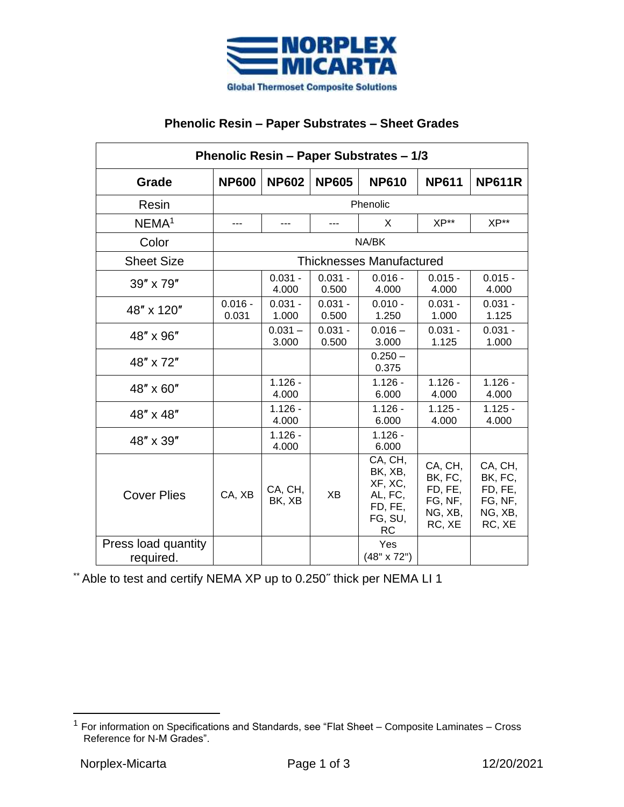

## **Phenolic Resin – Paper Substrates – Sheet Grades**

| Phenolic Resin - Paper Substrates - 1/3 |                                 |                    |                    |                                                                      |                                                               |                                                               |  |  |
|-----------------------------------------|---------------------------------|--------------------|--------------------|----------------------------------------------------------------------|---------------------------------------------------------------|---------------------------------------------------------------|--|--|
| Grade                                   | <b>NP600</b>                    | <b>NP602</b>       | <b>NP605</b>       | <b>NP610</b>                                                         | <b>NP611</b>                                                  | <b>NP611R</b>                                                 |  |  |
| Resin                                   | Phenolic                        |                    |                    |                                                                      |                                                               |                                                               |  |  |
| NEMA <sup>1</sup>                       | ---                             | $---$              | $---$              | X                                                                    | $XP**$                                                        | $XP**$                                                        |  |  |
| Color                                   | NA/BK                           |                    |                    |                                                                      |                                                               |                                                               |  |  |
| <b>Sheet Size</b>                       | <b>Thicknesses Manufactured</b> |                    |                    |                                                                      |                                                               |                                                               |  |  |
| 39" x 79"                               |                                 | $0.031 -$<br>4.000 | $0.031 -$<br>0.500 | $0.016 -$<br>4.000                                                   | $0.015 -$<br>4.000                                            | $0.015 -$<br>4.000                                            |  |  |
| 48" x 120"                              | $0.016 -$<br>0.031              | $0.031 -$<br>1.000 | $0.031 -$<br>0.500 | $0.010 -$<br>1.250                                                   | $0.031 -$<br>1.000                                            | $0.031 -$<br>1.125                                            |  |  |
| 48" x 96"                               |                                 | $0.031 -$<br>3.000 | $0.031 -$<br>0.500 | $0.016 -$<br>3.000                                                   | $0.031 -$<br>1.125                                            | $0.031 -$<br>1.000                                            |  |  |
| 48" x 72"                               |                                 |                    |                    | $0.250 -$<br>0.375                                                   |                                                               |                                                               |  |  |
| 48" x 60"                               |                                 | $1.126 -$<br>4.000 |                    | $1.126 -$<br>6.000                                                   | $1.126 -$<br>4.000                                            | $1.126 -$<br>4.000                                            |  |  |
| 48" x 48"                               |                                 | $1.126 -$<br>4.000 |                    | $1.126 -$<br>6.000                                                   | $1.125 -$<br>4.000                                            | $1.125 -$<br>4.000                                            |  |  |
| 48" x 39"                               |                                 | $1.126 -$<br>4.000 |                    | $1.126 -$<br>6.000                                                   |                                                               |                                                               |  |  |
| <b>Cover Plies</b>                      | CA, XB                          | CA, CH,<br>BK, XB  | XB                 | CA, CH,<br>BK, XB,<br>XF, XC,<br>AL, FC,<br>FD, FE,<br>FG, SU,<br>RC | CA, CH,<br>BK, FC,<br>FD, FE,<br>FG, NF,<br>NG, XB,<br>RC, XE | CA, CH,<br>BK, FC,<br>FD, FE,<br>FG, NF,<br>NG, XB,<br>RC, XE |  |  |
| Press load quantity<br>required.        |                                 |                    |                    | Yes<br>(48" x 72")                                                   |                                                               |                                                               |  |  |

\*\* Able to test and certify NEMA XP up to 0.250˝ thick per NEMA LI 1

 $1$  For information on Specifications and Standards, see "Flat Sheet – Composite Laminates – Cross Reference for N-M Grades".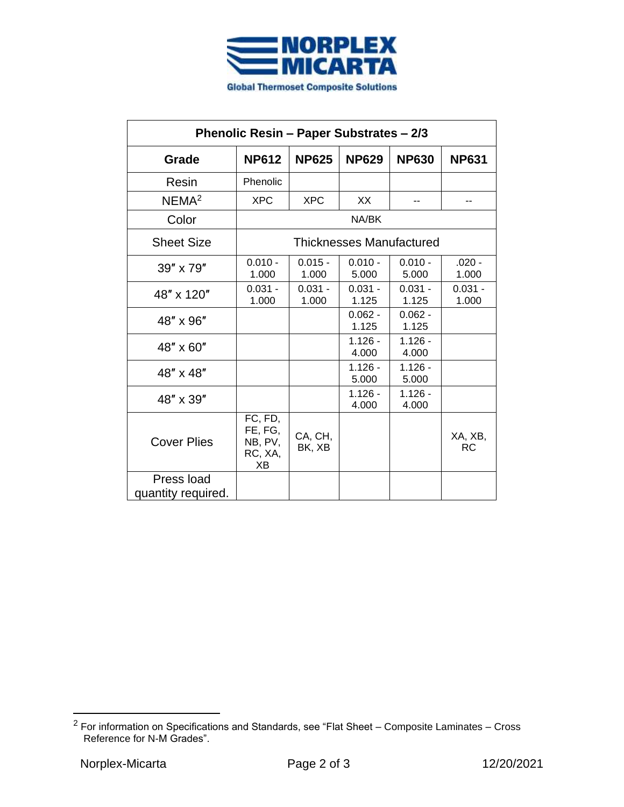

| Phenolic Resin - Paper Substrates - 2/3 |                                                |                    |                    |                    |                      |  |  |  |
|-----------------------------------------|------------------------------------------------|--------------------|--------------------|--------------------|----------------------|--|--|--|
| Grade                                   | <b>NP612</b>                                   | <b>NP625</b>       | <b>NP629</b>       | <b>NP630</b>       | <b>NP631</b>         |  |  |  |
| Resin                                   | Phenolic                                       |                    |                    |                    |                      |  |  |  |
| NEMA <sup>2</sup>                       | <b>XPC</b>                                     | <b>XPC</b>         | XX                 |                    |                      |  |  |  |
| Color                                   | NA/BK                                          |                    |                    |                    |                      |  |  |  |
| <b>Sheet Size</b>                       | <b>Thicknesses Manufactured</b>                |                    |                    |                    |                      |  |  |  |
| 39" x 79"                               | $0.010 -$<br>1.000                             | $0.015 -$<br>1.000 | $0.010 -$<br>5.000 | $0.010 -$<br>5.000 | $.020 -$<br>1.000    |  |  |  |
| 48" x 120"                              | $0.031 -$<br>1.000                             | $0.031 -$<br>1.000 | $0.031 -$<br>1.125 | $0.031 -$<br>1.125 | $0.031 -$<br>1.000   |  |  |  |
| 48" x 96"                               |                                                |                    | $0.062 -$<br>1.125 | $0.062 -$<br>1.125 |                      |  |  |  |
| 48" x 60"                               |                                                |                    | $1.126 -$<br>4.000 | $1.126 -$<br>4.000 |                      |  |  |  |
| 48" x 48"                               |                                                |                    | $1.126 -$<br>5.000 | $1.126 -$<br>5.000 |                      |  |  |  |
| 48" x 39"                               |                                                |                    | $1.126 -$<br>4.000 | $1.126 -$<br>4.000 |                      |  |  |  |
| <b>Cover Plies</b>                      | FC, FD,<br>FE, FG,<br>NB, PV,<br>RC, XA,<br>XВ | CA, CH,<br>BK, XB  |                    |                    | XA, XB,<br><b>RC</b> |  |  |  |
| Press load<br>quantity required.        |                                                |                    |                    |                    |                      |  |  |  |

 $2$  For information on Specifications and Standards, see "Flat Sheet – Composite Laminates – Cross Reference for N-M Grades".